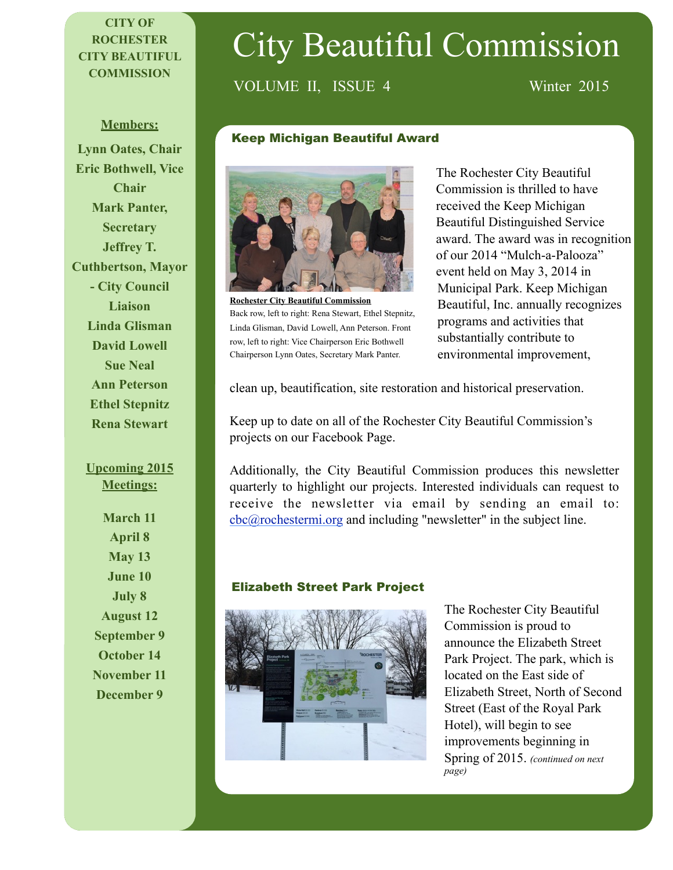## **CITY OF ROCHESTER CITY BEAUTIFUL COMMISSION**

# City Beautiful Commission

# VOLUME II, ISSUE 4 Winter 2015

#### **Members:**

**Lynn Oates, Chair Eric Bothwell, Vice Chair Mark Panter, Secretary Jeffrey T. Cuthbertson, Mayor - City Council Liaison Linda Glisman David Lowell Sue Neal Ann Peterson Ethel Stepnitz Rena Stewart**

#### **Upcoming 2015 Meetings:**

**March 11 April 8 May 13 June 10 July 8 August 12 September 9 October 14 November 11 December 9**

#### Keep Michigan Beautiful Award



**Rochester City Beautiful Commission**  Back row, left to right: Rena Stewart, Ethel Stepnitz, Linda Glisman, David Lowell, Ann Peterson. Front row, left to right: Vice Chairperson Eric Bothwell Chairperson Lynn Oates, Secretary Mark Panter.

The Rochester City Beautiful Commission is thrilled to have received the Keep Michigan Beautiful Distinguished Service award. The award was in recognition of our 2014 "Mulch-a-Palooza" event held on May 3, 2014 in Municipal Park. Keep Michigan Beautiful, Inc. annually recognizes programs and activities that substantially contribute to environmental improvement,

clean up, beautification, site restoration and historical preservation.

Keep up to date on all of the Rochester City Beautiful Commission's projects on our Facebook Page.

Additionally, the City Beautiful Commission produces this newsletter quarterly to highlight our projects. Interested individuals can request to receive the newsletter via email by sending an email to: [cbc@rochestermi.org](mailto:cbc@rochestermi.org) and including "newsletter" in the subject line.

#### Elizabeth Street Park Project



The Rochester City Beautiful Commission is proud to announce the Elizabeth Street Park Project. The park, which is located on the East side of Elizabeth Street, North of Second Street (East of the Royal Park Hotel), will begin to see improvements beginning in Spring of 2015. *(continued on next page)*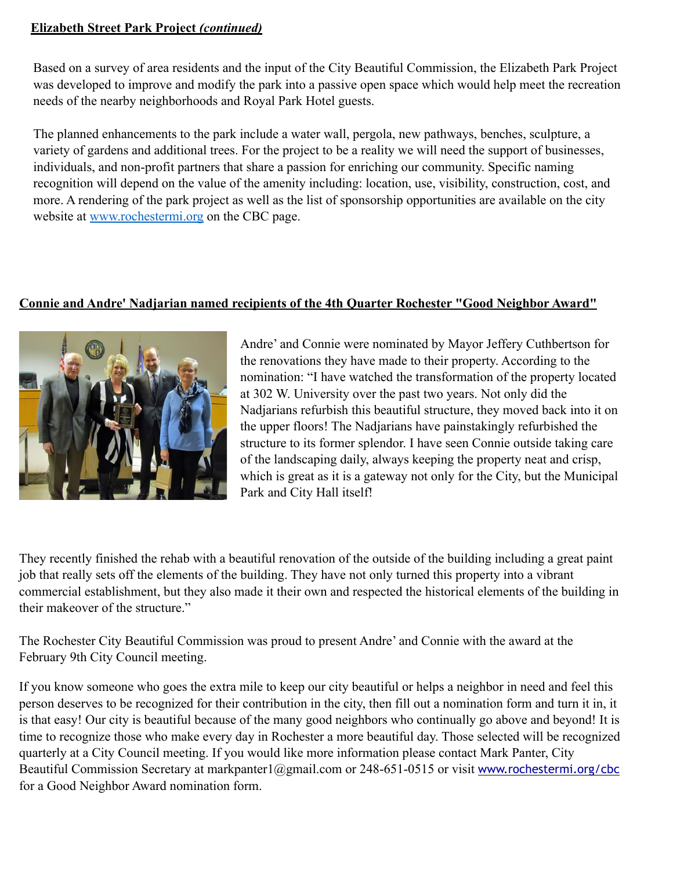#### **Elizabeth Street Park Project** *(continued)*

Based on a survey of area residents and the input of the City Beautiful Commission, the Elizabeth Park Project was developed to improve and modify the park into a passive open space which would help meet the recreation needs of the nearby neighborhoods and Royal Park Hotel guests.

The planned enhancements to the park include a water wall, pergola, new pathways, benches, sculpture, a variety of gardens and additional trees. For the project to be a reality we will need the support of businesses, individuals, and non-profit partners that share a passion for enriching our community. Specific naming recognition will depend on the value of the amenity including: location, use, visibility, construction, cost, and more. A rendering of the park project as well as the list of sponsorship opportunities are available on the city website at [www.rochestermi.org](http://www.rochestermi.org) on the CBC page.

## **Connie and Andre' Nadjarian named recipients of the 4th Quarter Rochester "Good Neighbor Award"**



Andre' and Connie were nominated by Mayor Jeffery Cuthbertson for the renovations they have made to their property. According to the nomination: "I have watched the transformation of the property located at 302 W. University over the past two years. Not only did the Nadjarians refurbish this beautiful structure, they moved back into it on the upper floors! The Nadjarians have painstakingly refurbished the structure to its former splendor. I have seen Connie outside taking care of the landscaping daily, always keeping the property neat and crisp, which is great as it is a gateway not only for the City, but the Municipal Park and City Hall itself!

They recently finished the rehab with a beautiful renovation of the outside of the building including a great paint job that really sets off the elements of the building. They have not only turned this property into a vibrant commercial establishment, but they also made it their own and respected the historical elements of the building in their makeover of the structure."

The Rochester City Beautiful Commission was proud to present Andre' and Connie with the award at the February 9th City Council meeting.

If you know someone who goes the extra mile to keep our city beautiful or helps a neighbor in need and feel this person deserves to be recognized for their contribution in the city, then fill out a nomination form and turn it in, it is that easy! Our city is beautiful because of the many good neighbors who continually go above and beyond! It is time to recognize those who make every day in Rochester a more beautiful day. Those selected will be recognized quarterly at a City Council meeting. If you would like more information please contact Mark Panter, City Beautiful Commission Secretary at markpanter1@gmail.com or 248-651-0515 or visit [www.rochestermi.org/cbc](http://www.rochestermi.org/cbc) for a Good Neighbor Award nomination form.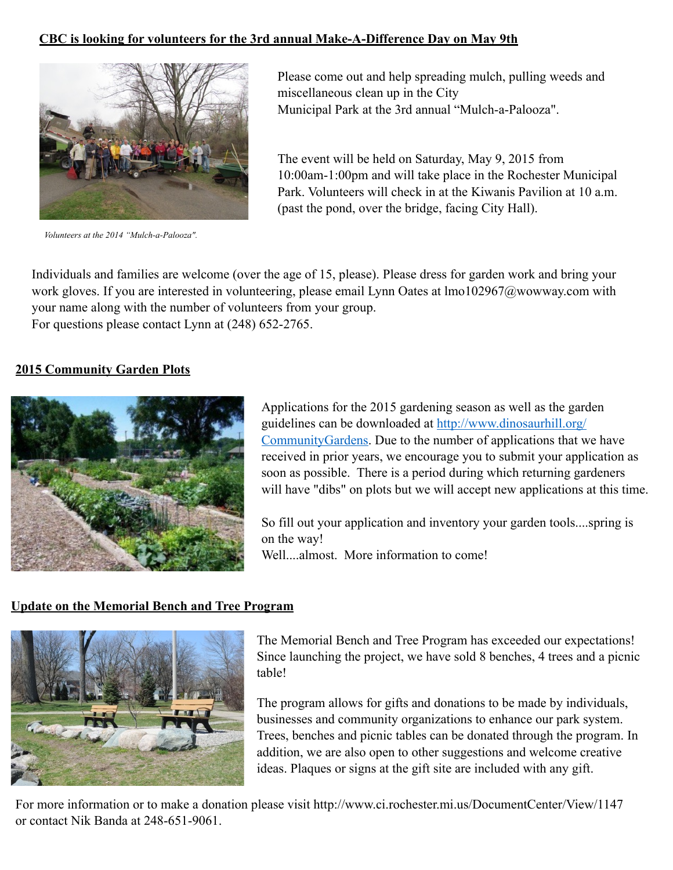#### **CBC is looking for volunteers for the 3rd annual Make-A-Difference Day on May 9th**



*Volunteers at the 2014 "Mulch-a-Palooza".*

Please come out and help spreading mulch, pulling weeds and miscellaneous clean up in the City Municipal Park at the 3rd annual "Mulch-a-Palooza".

The event will be held on Saturday, May 9, 2015 from 10:00am-1:00pm and will take place in the Rochester Municipal Park. Volunteers will check in at the Kiwanis Pavilion at 10 a.m. (past the pond, over the bridge, facing City Hall).

Individuals and families are welcome (over the age of 15, please). Please dress for garden work and bring your work gloves. If you are interested in volunteering, please email Lynn Oates at lmo102967@wowway.com with your name along with the number of volunteers from your group. For questions please contact Lynn at (248) 652-2765.

#### **2015 Community Garden Plots**



Applications for the 2015 gardening season as well as the garden guidelines can be downloaded at http://www.dinosaurhill.org/ [CommunityGardens. Due to the number of applications that w](http://www.dinosaurhill.org/CommunityGardens)e have received in prior years, we encourage you to submit your application as soon as possible. There is a period during which returning gardeners will have "dibs" on plots but we will accept new applications at this time.

So fill out your application and inventory your garden tools....spring is on the way!

Well....almost. More information to come!

#### **Update on the Memorial Bench and Tree Program**



The Memorial Bench and Tree Program has exceeded our expectations! Since launching the project, we have sold 8 benches, 4 trees and a picnic table!

The program allows for gifts and donations to be made by individuals, businesses and community organizations to enhance our park system. Trees, benches and picnic tables can be donated through the program. In addition, we are also open to other suggestions and welcome creative ideas. Plaques or signs at the gift site are included with any gift.

For more information or to make a donation please visit http://www.ci.rochester.mi.us/DocumentCenter/View/1147 or contact Nik Banda at 248-651-9061.